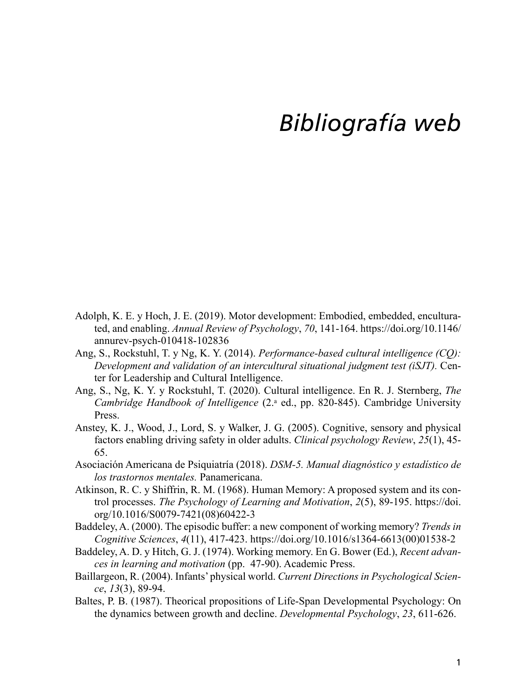## *Bibliografía web*

- Adolph, K. E. y Hoch, J. E. (2019). Motor development: Embodied, embedded, enculturated, and enabling. *Annual Review of Psychology*, *70*, 141-164. [https://doi.org/10.1146/](https://doi.org/10.1146/annurev-psych-010418-102836) [annurev-psych-010418-102836](https://doi.org/10.1146/annurev-psych-010418-102836)
- Ang, S., Rockstuhl, T. y Ng, K. Y. (2014). *Performance-based cultural intelligence (CQ): Development and validation of an intercultural situational judgment test (iSJT).* Center for Leadership and Cultural Intelligence.
- Ang, S., Ng, K. Y. y Rockstuhl, T. (2020). Cultural intelligence. En R. J. Sternberg, *The*  Cambridge Handbook of Intelligence (2.ª ed., pp. 820-845). Cambridge University Press.
- Anstey, K. J., Wood, J., Lord, S. y Walker, J. G. (2005). Cognitive, sensory and physical factors enabling driving safety in older adults. *Clinical psychology Review*, *25*(1), 45- 65.
- Asociación Americana de Psiquiatría (2018). *DSM-5. Manual diagnóstico y estadístico de los trastornos mentales.* Panamericana.
- Atkinson, R. C. y Shiffrin, R. M. (1968). Human Memory: A proposed system and its control processes. *The Psychology of Learning and Motivation*, *2*(5), 89-195. [https://doi.](https://doi.org/10.1016/S0079-7421(08)60422-3) [org/10.1016/S0079-7421\(08\)60422-3](https://doi.org/10.1016/S0079-7421(08)60422-3)
- Baddeley, A. (2000). The episodic buffer: a new component of working memory? *Trends in Cognitive Sciences*, *4*(11), 417-423. [https://doi.org/10.1016/s1364-6613\(00\)01538-2](https://doi.org/10.1016/s1364-6613(00)01538-2)
- Baddeley, A. D. y Hitch, G. J. (1974). Working memory. En G. Bower (Ed.), *Recent advances in learning and motivation* (pp. 47-90). Academic Press.
- Baillargeon, R. (2004). Infants' physical world. *Current Directions in Psychological Science*, *13*(3), 89-94.
- Baltes, P. B. (1987). Theorical propositions of Life-Span Developmental Psychology: On the dynamics between growth and decline. *Developmental Psychology*, *23*, 611-626.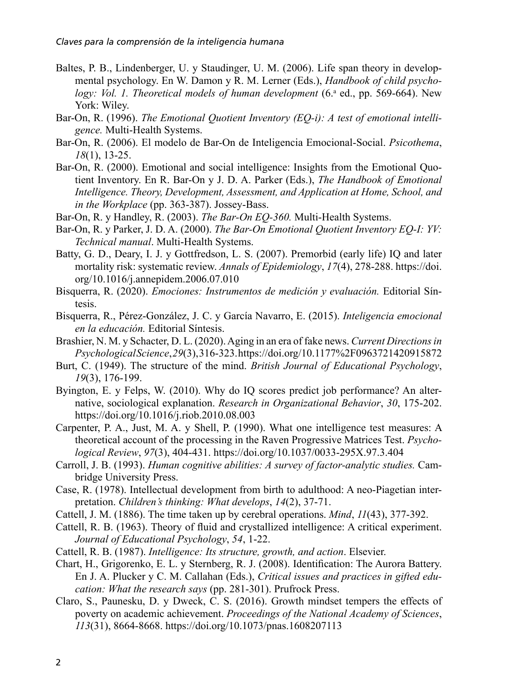- Baltes, P. B., Lindenberger, U. y Staudinger, U. M. (2006). Life span theory in developmental psychology. En W. Damon y R. M. Lerner (Eds.), *Handbook of child psycho*logy: Vol. 1. Theoretical models of human development (6.ª ed., pp. 569-664). New York: Wiley.
- Bar-On, R. (1996). *The Emotional Quotient Inventory (EQ-i): A test of emotional intelligence.* Multi-Health Systems.
- Bar-On, R. (2006). El modelo de Bar-On de Inteligencia Emocional-Social. *Psicothema*, *18*(1), 13-25.
- Bar-On, R. (2000). Emotional and social intelligence: Insights from the Emotional Quotient Inventory. En R. Bar-On y J. D. A. Parker (Eds.), *The Handbook of Emotional Intelligence. Theory, Development, Assessment, and Application at Home, School, and in the Workplace* (pp. 363-387). Jossey-Bass.
- Bar-On, R. y Handley, R. (2003). *The Bar-On EQ-360.* Multi-Health Systems.
- Bar-On, R. y Parker, J. D. A. (2000). *The Bar-On Emotional Quotient Inventory EQ-I: YV: Technical manual*. Multi-Health Systems.
- Batty, G. D., Deary, I. J. y Gottfredson, L. S. (2007). Premorbid (early life) IQ and later mortality risk: systematic review. *Annals of Epidemiology*, *17*(4), 278-288. [https://doi.](https://doi.org/10.1016/j.annepidem.2006.07.010) [org/10.1016/j.annepidem.2006.07.010](https://doi.org/10.1016/j.annepidem.2006.07.010)
- Bisquerra, R. (2020). *Emociones: Instrumentos de medición y evaluación.* Editorial Síntesis.
- Bisquerra, R., Pérez-González, J. C. y García Navarro, E. (2015). *Inteligencia emocional en la educación.* Editorial Síntesis.
- Brashier, N. M. y Schacter, D. L. (2020). Aging in an era of fake news. *Current Directions in Psychological Science*, *29*(3), 316-323.<https://doi.org/10.1177%2F0963721420915872>
- Burt, C. (1949). The structure of the mind. *British Journal of Educational Psychology*, *19*(3), 176-199.
- Byington, E. y Felps, W. (2010). Why do IQ scores predict job performance? An alternative, sociological explanation. *Research in Organizational Behavior*, *30*, 175-202. <https://doi.org/10.1016/j.riob.2010.08.003>
- Carpenter, P. A., Just, M. A. y Shell, P. (1990). What one intelligence test measures: A theoretical account of the processing in the Raven Progressive Matrices Test. *Psychological Review*, *97*(3), 404-431.<https://doi.org/10.1037/0033-295X.97.3.404>
- Carroll, J. B. (1993). *Human cognitive abilities: A survey of factor-analytic studies.* Cambridge University Press.
- Case, R. (1978). Intellectual development from birth to adulthood: A neo-Piagetian interpretation. *Children's thinking: What develops*, *14*(2), 37-71.
- Cattell, J. M. (1886). The time taken up by cerebral operations. *Mind*, *11*(43), 377-392.
- Cattell, R. B. (1963). Theory of fluid and crystallized intelligence: A critical experiment. *Journal of Educational Psychology*, *54*, 1-22.
- Cattell, R. B. (1987). *Intelligence: Its structure, growth, and action*. Elsevier.
- Chart, H., Grigorenko, E. L. y Sternberg, R. J. (2008). Identification: The Aurora Battery. En J. A. Plucker y C. M. Callahan (Eds.), *Critical issues and practices in gifted education: What the research says* (pp. 281-301). Prufrock Press.
- Claro, S., Paunesku, D. y Dweck, C. S. (2016). Growth mindset tempers the effects of poverty on academic achievement. *Proceedings of the National Academy of Sciences*, *113*(31), 8664-8668.<https://doi.org/10.1073/pnas.1608207113>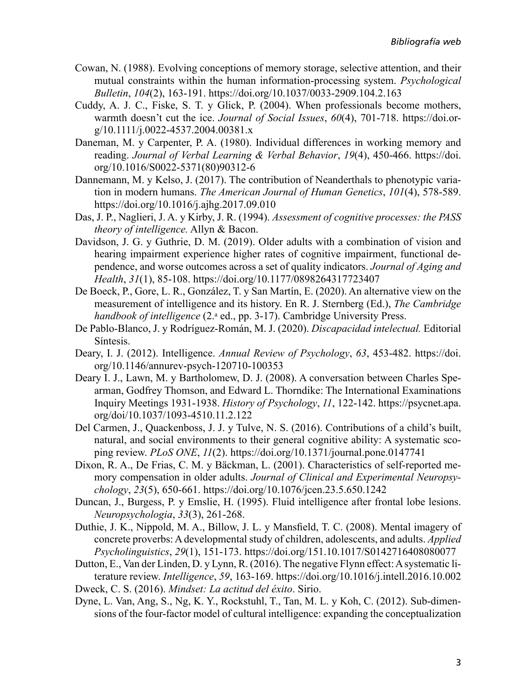- Cowan, N. (1988). Evolving conceptions of memory storage, selective attention, and their mutual constraints within the human information-processing system. *Psychological Bulletin*, *104*(2), 163-191. <https://doi.org/10.1037/0033-2909.104.2.163>
- Cuddy, A. J. C., Fiske, S. T. y Glick, P. (2004). When professionals become mothers, warmth doesn't cut the ice. *Journal of Social Issues*, *60*(4), 701-718. [https://doi.or](https://doi.org/10.1111/j.0022-4537.2004.00381.x)[g/10.1111/j.0022-4537.2004.00381.x](https://doi.org/10.1111/j.0022-4537.2004.00381.x)
- Daneman, M. y Carpenter, P. A. (1980). Individual differences in working memory and reading. *Journal of Verbal Learning & Verbal Behavior*, *19*(4), 450-466. [https://doi.](https://doi.org/10.1016/S0022-5371(80)90312-6) [org/10.1016/S0022-5371\(80\)90312-6](https://doi.org/10.1016/S0022-5371(80)90312-6)
- Dannemann, M. y Kelso, J. (2017). The contribution of Neanderthals to phenotypic variation in modern humans. *The American Journal of Human Genetics*, *101*(4), 578-589. <https://doi.org/10.1016/j.ajhg.2017.09.010>
- Das, J. P., Naglieri, J. A. y Kirby, J. R. (1994). *Assessment of cognitive processes: the PASS theory of intelligence.* Allyn & Bacon.
- Davidson, J. G. y Guthrie, D. M. (2019). Older adults with a combination of vision and hearing impairment experience higher rates of cognitive impairment, functional dependence, and worse outcomes across a set of quality indicators. *Journal of Aging and Health*, *31*(1), 85-108.<https://doi.org/10.1177/0898264317723407>
- De Boeck, P., Gore, L. R., González, T. y San Martín, E. (2020). An alternative view on the measurement of intelligence and its history. En R. J. Sternberg (Ed.), *The Cambridge*  handbook of intelligence (2.ª ed., pp. 3-17). Cambridge University Press.
- De Pablo-Blanco, J. y Rodríguez-Román, M. J. (2020). *Discapacidad intelectual.* Editorial Síntesis.
- Deary, I. J. (2012). Intelligence. *Annual Review of Psychology*, *63*, 453-482. [https://doi.](https://doi.org/10.1146/annurev-psych-120710-100353) [org/10.1146/annurev-psych-120710-100353](https://doi.org/10.1146/annurev-psych-120710-100353)
- Deary I. J., Lawn, M. y Bartholomew, D. J. (2008). A conversation between Charles Spearman, Godfrey Thomson, and Edward L. Thorndike: The International Examinations Inquiry Meetings 1931-1938. *History of Psychology*, *11*, 122-142. [https://psycnet.apa.](https://psycnet.apa.org/doi/10.1037/1093-4510.11.2.122) [org/doi/10.1037/1093-4510.11.2.122](https://psycnet.apa.org/doi/10.1037/1093-4510.11.2.122)
- Del Carmen, J., Quackenboss, J. J. y Tulve, N. S. (2016). Contributions of a child's built, natural, and social environments to their general cognitive ability: A systematic scoping review. *PLoS ONE*, *11*(2). <https://doi.org/10.1371/journal.pone.0147741>
- Dixon, R. A., De Frias, C. M. y Bäckman, L. (2001). Characteristics of self-reported memory compensation in older adults. *Journal of Clinical and Experimental Neuropsychology*, *23*(5), 650-661. <https://doi.org/10.1076/jcen.23.5.650.1242>
- Duncan, J., Burgess, P. y Emslie, H. (1995). Fluid intelligence after frontal lobe lesions. *Neuropsychologia*, *33*(3), 261-268.
- Duthie, J. K., Nippold, M. A., Billow, J. L. y Mansfield, T. C. (2008). Mental imagery of concrete proverbs: A developmental study of children, adolescents, and adults. *Applied Psycholinguistics*, *29*(1), 151-173. <https://doi.org/151.10.1017/S0142716408080077>
- Dutton, E., Van der Linden, D. y Lynn, R. (2016). The negative Flynn effect: A systematic literature review. *Intelligence*, *59*, 163-169.<https://doi.org/10.1016/j.intell.2016.10.002>
- Dweck, C. S. (2016). *Mindset: La actitud del éxito*. Sirio.
- Dyne, L. Van, Ang, S., Ng, K. Y., Rockstuhl, T., Tan, M. L. y Koh, C. (2012). Sub-dimensions of the four-factor model of cultural intelligence: expanding the conceptualization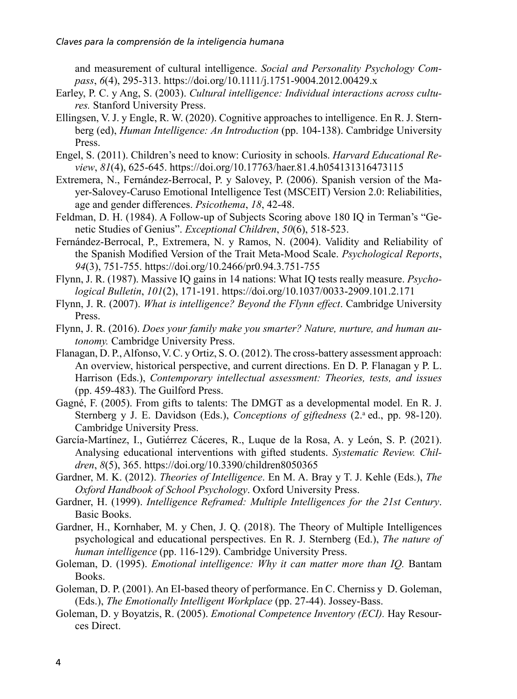and measurement of cultural intelligence. *Social and Personality Psychology Compass*, *6*(4), 295-313. <https://doi.org/10.1111/j.1751-9004.2012.00429.x>

- Earley, P. C. y Ang, S. (2003). *Cultural intelligence: Individual interactions across cultures.* Stanford University Press.
- Ellingsen, V. J. y Engle, R. W. (2020). Cognitive approaches to intelligence. En R. J. Sternberg (ed), *Human Intelligence: An Introduction* (pp. 104-138). Cambridge University Press.
- Engel, S. (2011). Children's need to know: Curiosity in schools. *Harvard Educational Review*, *81*(4), 625-645.<https://doi.org/10.17763/haer.81.4.h054131316473115>
- Extremera, N., Fernández-Berrocal, P. y Salovey, P. (2006). Spanish version of the Mayer-Salovey-Caruso Emotional Intelligence Test (MSCEIT) Version 2.0: Reliabilities, age and gender differences. *Psicothema*, *18*, 42-48.
- Feldman, D. H. (1984). A Follow-up of Subjects Scoring above 180 IQ in Terman's "Genetic Studies of Genius". *Exceptional Children*, *50*(6), 518-523.
- Fernández-Berrocal, P., Extremera, N. y Ramos, N. (2004). Validity and Reliability of the Spanish Modified Version of the Trait Meta-Mood Scale. *Psychological Reports*, *94*(3), 751-755. <https://doi.org/10.2466/pr0.94.3.751-755>
- Flynn, J. R. (1987). Massive IQ gains in 14 nations: What IQ tests really measure. *Psychological Bulletin*, *101*(2), 171-191. <https://doi.org/10.1037/0033-2909.101.2.171>
- Flynn, J. R. (2007). *What is intelligence? Beyond the Flynn effect*. Cambridge University Press.
- Flynn, J. R. (2016). *Does your family make you smarter? Nature, nurture, and human autonomy.* Cambridge University Press.
- Flanagan, D. P., Alfonso, V. C. y Ortiz, S. O. (2012). The cross-battery assessment approach: An overview, historical perspective, and current directions. En D. P. Flanagan y P. L. Harrison (Eds.), *Contemporary intellectual assessment: Theories, tests, and issues* (pp. 459-483). The Guilford Press.
- Gagné, F. (2005). From gifts to talents: The DMGT as a developmental model. En R. J. Sternberg y J. E. Davidson (Eds.), *Conceptions of giftedness* (2.<sup>a</sup> ed., pp. 98-120). Cambridge University Press.
- García-Martínez, I., Gutiérrez Cáceres, R., Luque de la Rosa, A. y León, S. P. (2021). Analysing educational interventions with gifted students. *Systematic Review. Children*, *8*(5), 365. <https://doi.org/10.3390/children8050365>
- Gardner, M. K. (2012). *Theories of Intelligence*. En M. A. Bray y T. J. Kehle (Eds.), *The Oxford Handbook of School Psychology*. Oxford University Press.
- Gardner, H. (1999). *Intelligence Reframed: Multiple Intelligences for the 21st Century*. Basic Books.
- Gardner, H., Kornhaber, M. y Chen, J. Q. (2018). The Theory of Multiple Intelligences psychological and educational perspectives. En R. J. Sternberg (Ed.), *The nature of human intelligence* (pp. 116-129). Cambridge University Press.
- Goleman, D. (1995). *Emotional intelligence: Why it can matter more than IQ.* Bantam Books.
- Goleman, D. P. (2001). An EI-based theory of performance. En C. Cherniss y D. Goleman, (Eds.), *The Emotionally Intelligent Workplace* (pp. 27-44). Jossey-Bass.
- Goleman, D. y Boyatzis, R. (2005). *Emotional Competence Inventory (ECI).* Hay Resources Direct.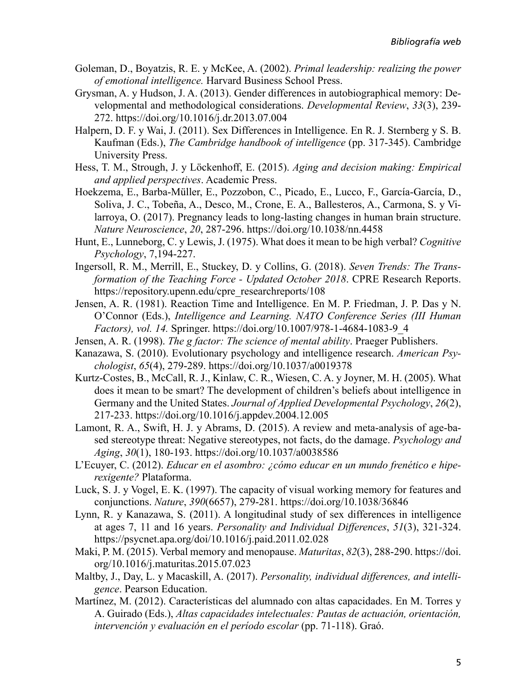- Goleman, D., Boyatzis, R. E. y McKee, A. (2002). *Primal leadership: realizing the power of emotional intelligence.* Harvard Business School Press.
- Grysman, A. y Hudson, J. A. (2013). Gender differences in autobiographical memory: Developmental and methodological considerations. *Developmental Review*, *33*(3), 239- 272. <https://doi.org/10.1016/j.dr.2013.07.004>
- Halpern, D. F. y Wai, J. (2011). Sex Differences in Intelligence. En R. J. Sternberg y S. B. Kaufman (Eds.), *The Cambridge handbook of intelligence* (pp. 317-345). Cambridge University Press.
- Hess, T. M., Strough, J. y Löckenhoff, E. (2015). *Aging and decision making: Empirical and applied perspectives*. Academic Press.
- Hoekzema, E., Barba-Müller, E., Pozzobon, C., Picado, E., Lucco, F., García-García, D., Soliva, J. C., Tobeña, A., Desco, M., Crone, E. A., Ballesteros, A., Carmona, S. y Vilarroya, O. (2017). Pregnancy leads to long-lasting changes in human brain structure. *Nature Neuroscience*, *20*, 287-296.<https://doi.org/10.1038/nn.4458>
- Hunt, E., Lunneborg, C. y Lewis, J. (1975). What does it mean to be high verbal? *Cognitive Psychology*, 7,194-227.
- Ingersoll, R. M., Merrill, E., Stuckey, D. y Collins, G. (2018). *Seven Trends: The Transformation of the Teaching Force - Updated October 2018*. CPRE Research Reports. [https://repository.upenn.edu/cpre\\_researchreports/108](https://repository.upenn.edu/cpre_researchreports/108)
- Jensen, A. R. (1981). Reaction Time and Intelligence. En M. P. Friedman, J. P. Das y N. O'Connor (Eds.), *Intelligence and Learning. NATO Conference Series (III Human Factors), vol. 14.* Springer. [https://doi.org/10.1007/978-1-4684-1083-9\\_4](https://doi.org/10.1007/978-1-4684-1083-9_4)
- Jensen, A. R. (1998). *The g factor: The science of mental ability*. Praeger Publishers.
- Kanazawa, S. (2010). Evolutionary psychology and intelligence research. *American Psychologist*, *65*(4), 279-289. <https://doi.org/10.1037/a0019378>
- Kurtz-Costes, B., McCall, R. J., Kinlaw, C. R., Wiesen, C. A. y Joyner, M. H. (2005). What does it mean to be smart? The development of children's beliefs about intelligence in Germany and the United States. *Journal of Applied Developmental Psychology*, *26*(2), 217-233.<https://doi.org/10.1016/j.appdev.2004.12.005>
- Lamont, R. A., Swift, H. J. y Abrams, D. (2015). A review and meta-analysis of age-based stereotype threat: Negative stereotypes, not facts, do the damage. *Psychology and Aging*, *30*(1), 180-193. <https://doi.org/10.1037/a0038586>
- L'Ecuyer, C. (2012). *Educar en el asombro: ¿cómo educar en un mundo frenético e hiperexigente?* Plataforma.
- Luck, S. J. y Vogel, E. K. (1997). The capacity of visual working memory for features and conjunctions. *Nature*, *390*(6657), 279-281.<https://doi.org/10.1038/36846>
- Lynn, R. y Kanazawa, S. (2011). A longitudinal study of sex differences in intelligence at ages 7, 11 and 16 years. *Personality and Individual Differences*, *51*(3), 321-324. <https://psycnet.apa.org/doi/10.1016/j.paid.2011.02.028>
- Maki, P. M. (2015). Verbal memory and menopause. *Maturitas*, *82*(3), 288-290. [https://doi.](https://doi.org/10.1016/j.maturitas.2015.07.023) [org/10.1016/j.maturitas.2015.07.023](https://doi.org/10.1016/j.maturitas.2015.07.023)
- Maltby, J., Day, L. y Macaskill, A. (2017). *Personality, individual differences, and intelligence*. Pearson Education.
- Martínez, M. (2012). Características del alumnado con altas capacidades. En M. Torres y A. Guirado (Eds.), *Altas capacidades intelectuales: Pautas de actuación, orientación, intervención y evaluación en el período escolar* (pp. 71-118). Graó.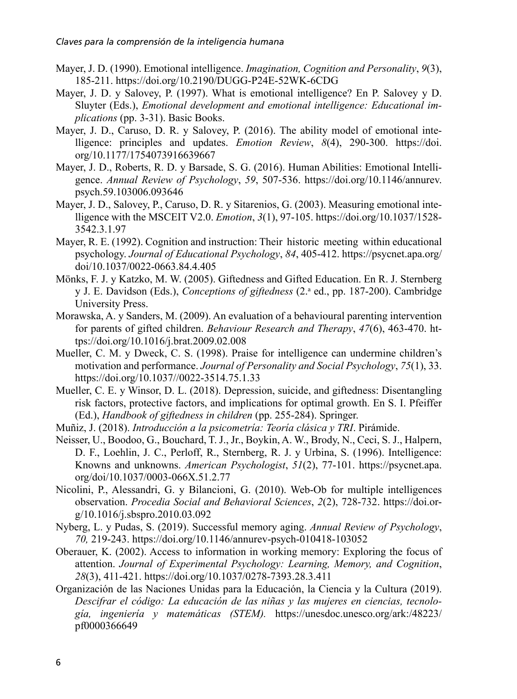- Mayer, J. D. (1990). Emotional intelligence. *Imagination, Cognition and Personality*, *9*(3), 185-211. <https://doi.org/10.2190/DUGG-P24E-52WK-6CDG>
- Mayer, J. D. y Salovey, P. (1997). What is emotional intelligence? En P. Salovey y D. Sluyter (Eds.), *Emotional development and emotional intelligence: Educational implications* (pp. 3-31). Basic Books.
- Mayer, J. D., Caruso, D. R. y Salovey, P. (2016). The ability model of emotional intelligence: principles and updates. *Emotion Review*, *8*(4), 290-300. [https://doi.](https://doi.org/10.1177/1754073916639667) [org/10.1177/1754073916639667](https://doi.org/10.1177/1754073916639667)
- Mayer, J. D., Roberts, R. D. y Barsade, S. G. (2016). Human Abilities: Emotional Intelligence. *Annual Review of Psychology*, *59*, 507-536. [https://doi.org/10.1146/annurev.](https://doi.org/10.1146/annurev.psych.59.103006.093646) [psych.59.103006.093646](https://doi.org/10.1146/annurev.psych.59.103006.093646)
- Mayer, J. D., Salovey, P., Caruso, D. R. y Sitarenios, G. (2003). Measuring emotional intelligence with the MSCEIT V2.0. *Emotion*, *3*(1), 97-105. [https://doi.org/10.1037/1528-](https://doi.org/10.1037/1528-3542.3.1.97) [3542.3.1.97](https://doi.org/10.1037/1528-3542.3.1.97)
- Mayer, R. E. (1992). Cognition and instruction: Their historic meeting within educational psychology. *Journal of Educational Psychology*, *84*, 405-412. [https://psycnet.apa.org/](https://psycnet.apa.org/doi/10.1037/0022-0663.84.4.405) [doi/10.1037/0022-0663.84.4.405](https://psycnet.apa.org/doi/10.1037/0022-0663.84.4.405)
- Mönks, F. J. y Katzko, M. W. (2005). Giftedness and Gifted Education. En R. J. Sternberg y J. E. Davidson (Eds.), *Conceptions of giftedness* (2.ª ed., pp. 187-200). Cambridge University Press.
- Morawska, A. y Sanders, M. (2009). An evaluation of a behavioural parenting intervention for parents of gifted children. *Behaviour Research and Therapy*, *47*(6), 463-470. [ht](https://doi.org/10.1016/j.brat.2009.02.008)[tps://doi.org/10.1016/j.brat.2009.02.008](https://doi.org/10.1016/j.brat.2009.02.008)
- Mueller, C. M. y Dweck, C. S. (1998). Praise for intelligence can undermine children's motivation and performance. *Journal of Personality and Social Psychology*, *75*(1), 33. <https://doi.org/10.1037//0022-3514.75.1.33>
- Mueller, C. E. y Winsor, D. L. (2018). Depression, suicide, and giftedness: Disentangling risk factors, protective factors, and implications for optimal growth. En S. I. Pfeiffer (Ed.), *Handbook of giftedness in children* (pp. 255-284). Springer.
- Muñiz, J. (2018). *Introducción a la psicometría: Teoría clásica y TRI*. Pirámide.
- Neisser, U., Boodoo, G., Bouchard, T. J., Jr., Boykin, A. W., Brody, N., Ceci, S. J., Halpern, D. F., Loehlin, J. C., Perloff, R., Sternberg, R. J. y Urbina, S. (1996). Intelligence: Knowns and unknowns. *American Psychologist*, *51*(2), 77-101. [https://psycnet.apa.](https://psycnet.apa.org/doi/10.1037/0003-066X.51.2.77) [org/doi/10.1037/0003-066X.51.2.77](https://psycnet.apa.org/doi/10.1037/0003-066X.51.2.77)
- Nicolini, P., Alessandri, G. y Bilancioni, G. (2010). Web-Ob for multiple intelligences observation. *Procedia Social and Behavioral Sciences*, *2*(2), 728-732. [https://doi.or](https://doi.org/10.1016/j.sbspro.2010.03.092) $g/10.1016$ /i.sbspro.2010.03.092
- Nyberg, L. y Pudas, S. (2019). Successful memory aging. *Annual Review of Psychology*, *70,* 219-243.<https://doi.org/10.1146/annurev-psych-010418-103052>
- Oberauer, K. (2002). Access to information in working memory: Exploring the focus of attention. *Journal of Experimental Psychology: Learning, Memory, and Cognition*, *28*(3), 411-421. <https://doi.org/10.1037/0278-7393.28.3.411>
- Organización de las Naciones Unidas para la Educación, la Ciencia y la Cultura (2019). *Descifrar el código: La educación de las niñas y las mujeres en ciencias, tecnología, ingeniería y matemáticas (STEM).* [https://unesdoc.unesco.org/ark:/48223/](https://unesdoc.unesco.org/ark:/48223/pf0000366649) [pf0000366649](https://unesdoc.unesco.org/ark:/48223/pf0000366649)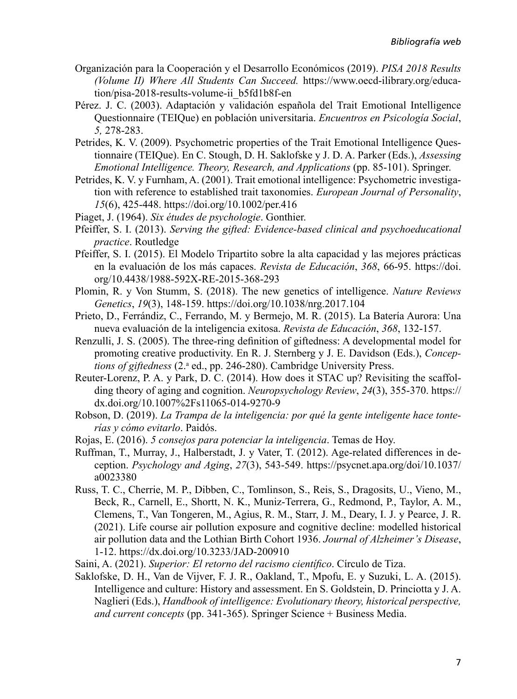- Organización para la Cooperación y el Desarrollo Económicos (2019). *PISA 2018 Results (Volume II) Where All Students Can Succeed.* [https://www.oecd-ilibrary.org/educa](https://www.oecd-ilibrary.org/education/pisa-2018-results-volume-ii_b5fd1b8f-en)[tion/pisa-2018-results-volume-ii\\_b5fd1b8f-en](https://www.oecd-ilibrary.org/education/pisa-2018-results-volume-ii_b5fd1b8f-en)
- Pérez. J. C. (2003). Adaptación y validación española del Trait Emotional Intelligence Questionnaire (TEIQue) en población universitaria. *Encuentros en Psicología Social*, *5,* 278-283.
- Petrides, K. V. (2009). Psychometric properties of the Trait Emotional Intelligence Questionnaire (TEIQue). En C. Stough, D. H. Saklofske y J. D. A. Parker (Eds.), *Assessing Emotional Intelligence. Theory, Research, and Applications* (pp. 85-101). Springer.
- Petrides, K. V. y Furnham, A. (2001). Trait emotional intelligence: Psychometric investigation with reference to established trait taxonomies. *European Journal of Personality*, *15*(6), 425-448. <https://doi.org/10.1002/per.416>
- Piaget, J. (1964). *Six études de psychologie*. Gonthier.
- Pfeiffer, S. I. (2013). *Serving the gifted: Evidence-based clinical and psychoeducational practice*. Routledge
- Pfeiffer, S. I. (2015). El Modelo Tripartito sobre la alta capacidad y las mejores prácticas en la evaluación de los más capaces. *Revista de Educación*, *368*, 66-95. [https://doi.](https://doi.org/10.4438/1988-592X-RE-2015-368-293) [org/10.4438/1988-592X-RE-2015-368-293](https://doi.org/10.4438/1988-592X-RE-2015-368-293)
- Plomin, R. y Von Stumm, S. (2018). The new genetics of intelligence. *Nature Reviews Genetics*, *19*(3), 148-159. <https://doi.org/10.1038/nrg.2017.104>
- Prieto, D., Ferrándiz, C., Ferrando, M. y Bermejo, M. R. (2015). La Batería Aurora: Una nueva evaluación de la inteligencia exitosa. *Revista de Educación*, *368*, 132-157.
- Renzulli, J. S. (2005). The three-ring definition of giftedness: A developmental model for promoting creative productivity. En R. J. Sternberg y J. E. Davidson (Eds.), *Concep*tions of giftedness (2.ª ed., pp. 246-280). Cambridge University Press.
- Reuter-Lorenz, P. A. y Park, D. C. (2014). How does it STAC up? Revisiting the scaffolding theory of aging and cognition. *Neuropsychology Review*, *24*(3), 355-370. [https://](https://dx.doi.org/10.1007%2Fs11065-014-9270-9) [dx.doi.org/10.1007%2Fs11065-014-9270-9](https://dx.doi.org/10.1007%2Fs11065-014-9270-9)
- Robson, D. (2019). *La Trampa de la inteligencia: por qué la gente inteligente hace tonterías y cómo evitarlo*. Paidós.
- Rojas, E. (2016). *5 consejos para potenciar la inteligencia*. Temas de Hoy.
- Ruffman, T., Murray, J., Halberstadt, J. y Vater, T. (2012). Age-related differences in deception. *Psychology and Aging*, *27*(3), 543-549. [https://psycnet.apa.org/doi/10.1037/](https://psycnet.apa.org/doi/10.1037/a0023380) [a0023380](https://psycnet.apa.org/doi/10.1037/a0023380)
- Russ, T. C., Cherrie, M. P., Dibben, C., Tomlinson, S., Reis, S., Dragosits, U., Vieno, M., Beck, R., Carnell, E., Shortt, N. K., Muniz-Terrera, G., Redmond, P., Taylor, A. M., Clemens, T., Van Tongeren, M., Agius, R. M., Starr, J. M., Deary, I. J. y Pearce, J. R. (2021). Life course air pollution exposure and cognitive decline: modelled historical air pollution data and the Lothian Birth Cohort 1936. *Journal of Alzheimer's Disease*, 1-12.<https://dx.doi.org/10.3233/JAD-200910>
- Saini, A. (2021). *Superior: El retorno del racismo científico*. Círculo de Tiza.
- Saklofske, D. H., Van de Vijver, F. J. R., Oakland, T., Mpofu, E. y Suzuki, L. A. (2015). Intelligence and culture: History and assessment. En S. Goldstein, D. Princiotta y J. A. Naglieri (Eds.), *Handbook of intelligence: Evolutionary theory, historical perspective, and current concepts* (pp. 341-365). Springer Science + Business Media.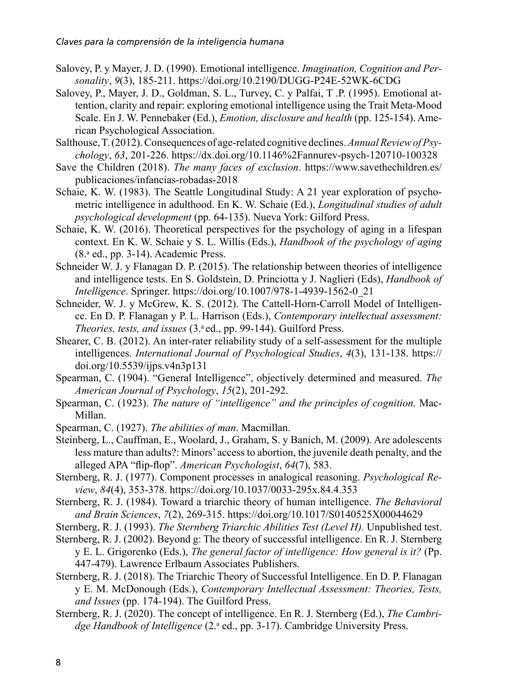- Salovey, P. y Mayer, J. D. (1990). Emotional intelligence. *Imagination, Cognition and Personality*, *9*(3), 185-211.<https://doi.org/10.2190/DUGG-P24E-52WK-6CDG>
- Salovey, P., Mayer, J. D., Goldman, S. L., Turvey, C. y Palfai, T .P. (1995). Emotional attention, clarity and repair: exploring emotional intelligence using the Trait Meta-Mood Scale. En J. W. Pennebaker (Ed.), *Emotion, disclosure and health* (pp. 125-154). American Psychological Association.
- Salthouse, T. (2012). Consequences of age-related cognitive declines. *Annual Review of Psychology*, *63*, 201-226. <https://dx.doi.org/10.1146%2Fannurev-psych-120710-100328>
- Save the Children (2018). *The many faces of exclusion*. [https://www.savethechildren.es/](https://www.savethechildren.es/publicaciones/infancias-robadas-2018) [publicaciones/infancias-robadas-2018](https://www.savethechildren.es/publicaciones/infancias-robadas-2018)
- Schaie, K. W. (1983). The Seattle Longitudinal Study: A 21 year exploration of psychometric intelligence in adulthood. En K. W. Schaie (Ed.), *Longitudinal studies of adult psychological development* (pp. 64-135). Nueva York: Gilford Press.
- Schaie, K. W. (2016). Theoretical perspectives for the psychology of aging in a lifespan context. En K. W. Schaie y S. L. Willis (Eds.), *Handbook of the psychology of aging* (8.a ed., pp. 3-14). Academic Press.
- Schneider W. J. y Flanagan D. P. (2015). The relationship between theories of intelligence and intelligence tests. En S. Goldstein, D. Princiotta y J. Naglieri (Eds), *Handbook of Intelligence*. Springer. [https://doi.org/10.1007/978-1-4939-1562-0\\_21](https://doi.org/10.1007/978-1-4939-1562-0_21)
- Schneider, W. J. y McGrew, K. S. (2012). The Cattell-Horn-Carroll Model of Intelligence. En D. P. Flanagan y P. L. Harrison (Eds.), *Contemporary intellectual assessment: Theories, tests, and issues* (3.ª ed., pp. 99-144). Guilford Press.
- Shearer, C. B. (2012). An inter-rater reliability study of a self-assessment for the multiple intelligences. *International Journal of Psychological Studies*, *4*(3), 131-138. [https://](https://doi.org/10.5539/ijps.v4n3p131) [doi.org/10.5539/ijps.v4n3p131](https://doi.org/10.5539/ijps.v4n3p131)
- Spearman, C. (1904). "General Intelligence", objectively determined and measured. *The American Journal of Psychology*, *15*(2), 201-292.
- Spearman, C. (1923). *The nature of "intelligence" and the principles of cognition.* Mac-Millan.
- Spearman, C. (1927). *The abilities of man*. Macmillan.
- Steinberg, L., Cauffman, E., Woolard, J., Graham, S. y Banich, M. (2009). Are adolescents less mature than adults?: Minors' access to abortion, the juvenile death penalty, and the alleged APA "flip-flop". *American Psychologist*, *64*(7), 583.
- Sternberg, R. J. (1977). Component processes in analogical reasoning. *Psychological Review*, *84*(4), 353-378.<https://doi.org/10.1037/0033-295x.84.4.353>
- Sternberg, R. J. (1984). Toward a triarchic theory of human intelligence. *The Behavioral and Brain Sciences*, *7*(2), 269-315.<https://doi.org/10.1017/S0140525X00044629>
- Sternberg, R. J. (1993). *The Sternberg Triarchic Abilities Test (Level H).* Unpublished test.
- Sternberg, R. J. (2002). Beyond g: The theory of successful intelligence. En R. J. Sternberg y E. L. Grigorenko (Eds.), *The general factor of intelligence: How general is it?* (Pp. 447-479). Lawrence Erlbaum Associates Publishers.
- Sternberg, R. J. (2018). The Triarchic Theory of Successful Intelligence. En D. P. Flanagan y E. M. McDonough (Eds.), *Contemporary Intellectual Assessment: Theories, Tests, and Issues* (pp. 174-194). The Guilford Press.
- Sternberg, R. J. (2020). The concept of intelligence. En R. J. Sternberg (Ed.), *The Cambri*dge Handbook of Intelligence (2.ª ed., pp. 3-17). Cambridge University Press.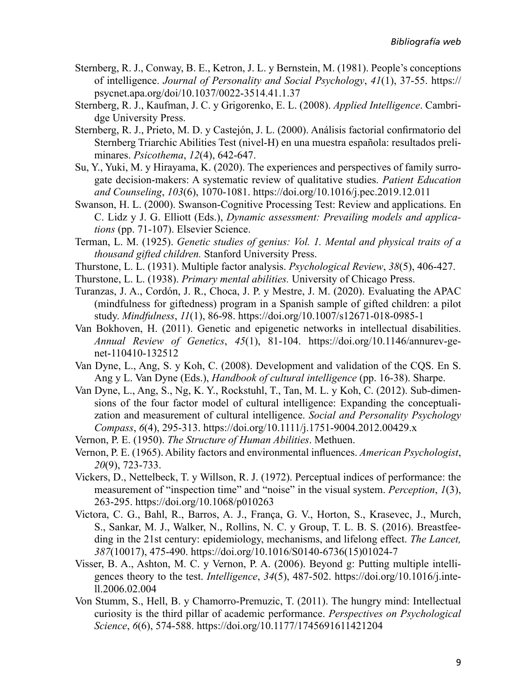- Sternberg, R. J., Conway, B. E., Ketron, J. L. y Bernstein, M. (1981). People's conceptions of intelligence. *Journal of Personality and Social Psychology*, *41*(1), 37-55. [https://](https://psycnet.apa.org/doi/10.1037/0022-3514.41.1.37) [psycnet.apa.org/doi/10.1037/0022-3514.41.1.37](https://psycnet.apa.org/doi/10.1037/0022-3514.41.1.37)
- Sternberg, R. J., Kaufman, J. C. y Grigorenko, E. L. (2008). *Applied Intelligence*. Cambridge University Press.
- Sternberg, R. J., Prieto, M. D. y Castejón, J. L. (2000). Análisis factorial confirmatorio del Sternberg Triarchic Abilities Test (nivel-H) en una muestra española: resultados preliminares. *Psicothema*, *12*(4), 642-647.
- Su, Y., Yuki, M. y Hirayama, K. (2020). The experiences and perspectives of family surrogate decision-makers: A systematic review of qualitative studies. *Patient Education and Counseling*, *103*(6), 1070-1081. <https://doi.org/10.1016/j.pec.2019.12.011>
- Swanson, H. L. (2000). Swanson-Cognitive Processing Test: Review and applications. En C. Lidz y J. G. Elliott (Eds.), *Dynamic assessment: Prevailing models and applications* (pp. 71-107). Elsevier Science.
- Terman, L. M. (1925). *Genetic studies of genius: Vol. 1. Mental and physical traits of a thousand gifted children.* Stanford University Press.
- Thurstone, L. L. (1931). Multiple factor analysis. *Psychological Review*, *38*(5), 406-427.
- Thurstone, L. L. (1938). *Primary mental abilities.* University of Chicago Press.
- Turanzas, J. A., Cordón, J. R., Choca, J. P. y Mestre, J. M. (2020). Evaluating the APAC (mindfulness for giftedness) program in a Spanish sample of gifted children: a pilot study. *Mindfulness*, *11*(1), 86-98.<https://doi.org/10.1007/s12671-018-0985-1>
- Van Bokhoven, H. (2011). Genetic and epigenetic networks in intellectual disabilities. *Annual Review of Genetics*, *45*(1), 81-104. [https://doi.org/10.1146/annurev-ge](https://doi.org/10.1146/annurev-genet-110410-132512)[net-110410-132512](https://doi.org/10.1146/annurev-genet-110410-132512)
- Van Dyne, L., Ang, S. y Koh, C. (2008). Development and validation of the CQS. En S. Ang y L. Van Dyne (Eds.), *Handbook of cultural intelligence* (pp. 16-38). Sharpe.
- Van Dyne, L., Ang, S., Ng, K. Y., Rockstuhl, T., Tan, M. L. y Koh, C. (2012). Sub-dimensions of the four factor model of cultural intelligence: Expanding the conceptualization and measurement of cultural intelligence. *Social and Personality Psychology Compass*, *6*(4), 295-313. <https://doi.org/10.1111/j.1751-9004.2012.00429.x>
- Vernon, P. E. (1950). *The Structure of Human Abilities*. Methuen.
- Vernon, P. E. (1965). Ability factors and environmental influences. *American Psychologist*, *20*(9), 723-733.
- Vickers, D., Nettelbeck, T. y Willson, R. J. (1972). Perceptual indices of performance: the measurement of "inspection time" and "noise" in the visual system. *Perception*, *1*(3), 263-295.<https://doi.org/10.1068/p010263>
- Victora, C. G., Bahl, R., Barros, A. J., França, G. V., Horton, S., Krasevec, J., Murch, S., Sankar, M. J., Walker, N., Rollins, N. C. y Group, T. L. B. S. (2016). Breastfeeding in the 21st century: epidemiology, mechanisms, and lifelong effect. *The Lancet, 387*(10017), 475-490. [https://doi.org/10.1016/S0140-6736\(15\)01024-7](https://doi.org/10.1016/S0140-6736(15)01024-7)
- Visser, B. A., Ashton, M. C. y Vernon, P. A. (2006). Beyond g: Putting multiple intelligences theory to the test. *Intelligence*, *34*(5), 487-502. [https://doi.org/10.1016/j.inte](https://doi.org/10.1016/j.intell.2006.02.004)[ll.2006.02.004](https://doi.org/10.1016/j.intell.2006.02.004)
- Von Stumm, S., Hell, B. y Chamorro-Premuzic, T. (2011). The hungry mind: Intellectual curiosity is the third pillar of academic performance. *Perspectives on Psychological Science*, *6*(6), 574-588.<https://doi.org/10.1177/1745691611421204>